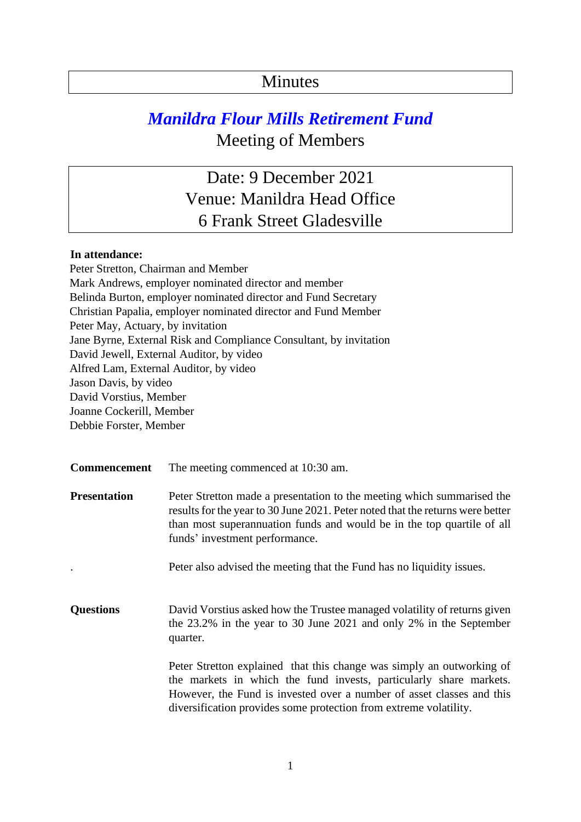## Minutes

## *Manildra Flour Mills Retirement Fund*  Meeting of Members

Date: 9 December 2021 Venue: Manildra Head Office 6 Frank Street Gladesville

## **In attendance:**

Peter Stretton, Chairman and Member Mark Andrews, employer nominated director and member Belinda Burton, employer nominated director and Fund Secretary Christian Papalia, employer nominated director and Fund Member Peter May, Actuary, by invitation Jane Byrne, External Risk and Compliance Consultant, by invitation David Jewell, External Auditor, by video Alfred Lam, External Auditor, by video Jason Davis, by video David Vorstius, Member Joanne Cockerill, Member Debbie Forster, Member

**Commencement** The meeting commenced at 10:30 am.

**Presentation** Peter Stretton made a presentation to the meeting which summarised the results for the year to 30 June 2021. Peter noted that the returns were better than most superannuation funds and would be in the top quartile of all funds' investment performance.

. Peter also advised the meeting that the Fund has no liquidity issues.

**Questions** David Vorstius asked how the Trustee managed volatility of returns given the 23.2% in the year to 30 June 2021 and only 2% in the September quarter.

> Peter Stretton explained that this change was simply an outworking of the markets in which the fund invests, particularly share markets. However, the Fund is invested over a number of asset classes and this diversification provides some protection from extreme volatility.